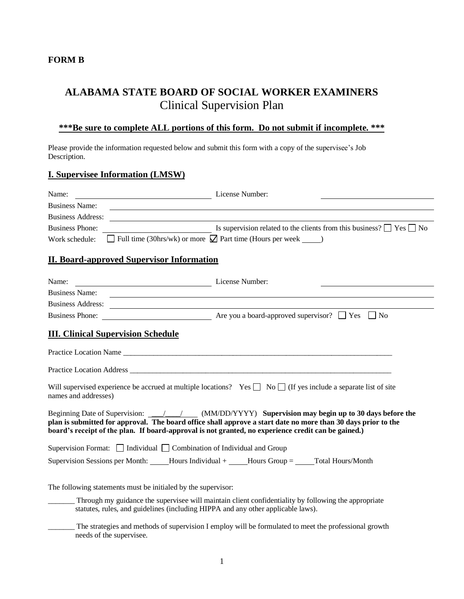### **FORM B**

# **ALABAMA STATE BOARD OF SOCIAL WORKER EXAMINERS** Clinical Supervision Plan

# **\*\*\*Be sure to complete ALL portions of this form. Do not submit if incomplete. \*\*\***

Please provide the information requested below and submit this form with a copy of the supervisee's Job Description.

### **I. Supervisee Information (LMSW)**

| Name:<br>License Number:                                                         |                                                                                                                                                                                                                                                                                                                                                                                                                                                                                                                                                                                               |
|----------------------------------------------------------------------------------|-----------------------------------------------------------------------------------------------------------------------------------------------------------------------------------------------------------------------------------------------------------------------------------------------------------------------------------------------------------------------------------------------------------------------------------------------------------------------------------------------------------------------------------------------------------------------------------------------|
| <b>Business Name:</b>                                                            |                                                                                                                                                                                                                                                                                                                                                                                                                                                                                                                                                                                               |
| Business Address:                                                                |                                                                                                                                                                                                                                                                                                                                                                                                                                                                                                                                                                                               |
| <b>Business Phone:</b>                                                           | $\overline{\phantom{a}}$ Is supervision related to the clients from this business? $\Box$ Yes $\Box$ No                                                                                                                                                                                                                                                                                                                                                                                                                                                                                       |
| Work schedule:                                                                   | $\Box$ Full time (30hrs/wk) or more $\Box$ Part time (Hours per week )                                                                                                                                                                                                                                                                                                                                                                                                                                                                                                                        |
| <b>II. Board-approved Supervisor Information</b>                                 |                                                                                                                                                                                                                                                                                                                                                                                                                                                                                                                                                                                               |
| Name:<br>License Number:                                                         |                                                                                                                                                                                                                                                                                                                                                                                                                                                                                                                                                                                               |
| <b>Business Name:</b>                                                            | <u> 1989 - Johann Barbara, martin amerikan basal dan berasal dalam basal dalam basal dalam basal dalam basal dala</u>                                                                                                                                                                                                                                                                                                                                                                                                                                                                         |
| Business Address: New York Changes and Separate Section 2014                     |                                                                                                                                                                                                                                                                                                                                                                                                                                                                                                                                                                                               |
|                                                                                  |                                                                                                                                                                                                                                                                                                                                                                                                                                                                                                                                                                                               |
| names and addresses)                                                             | Practice Location Name Lawrence and Contract the Contract of the Contract of the Contract of the Contract of the Contract of the Contract of the Contract of the Contract of the Contract of the Contract of the Contract of t<br>Practice Location Address Contact Contact Contact Contact Contact Contact Contact Contact Contact Contact Contact Contact Contact Contact Contact Contact Contact Contact Contact Contact Contact Contact Contact Contact Cont<br>Will supervised experience be accrued at multiple locations? Yes $\Box$ No $\Box$ (If yes include a separate list of site |
|                                                                                  | plan is submitted for approval. The board office shall approve a start date no more than 30 days prior to the<br>board's receipt of the plan. If board-approval is not granted, no experience credit can be gained.)                                                                                                                                                                                                                                                                                                                                                                          |
| Supervision Format: $\Box$ Individual $\Box$ Combination of Individual and Group |                                                                                                                                                                                                                                                                                                                                                                                                                                                                                                                                                                                               |
|                                                                                  | Supervision Sessions per Month: Hours Individual + Hours Group = $\Gamma$ Total Hours/Month                                                                                                                                                                                                                                                                                                                                                                                                                                                                                                   |
| The following statements must be initialed by the supervisor:                    |                                                                                                                                                                                                                                                                                                                                                                                                                                                                                                                                                                                               |
|                                                                                  | Through my guidance the supervisee will maintain client confidentiality by following the appropriate<br>statutes, rules, and guidelines (including HIPPA and any other applicable laws).                                                                                                                                                                                                                                                                                                                                                                                                      |

The strategies and methods of supervision I employ will be formulated to meet the professional growth needs of the supervisee.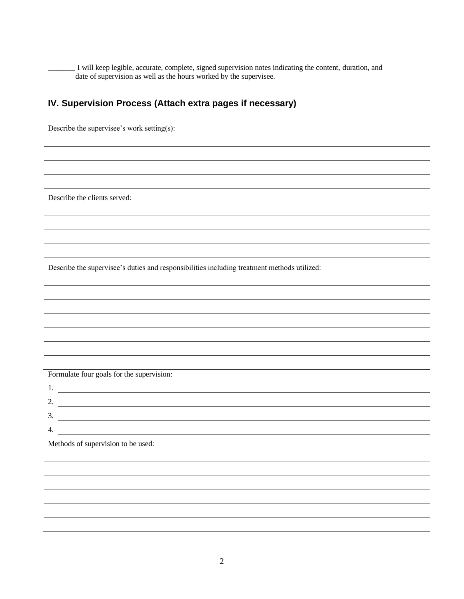\_\_\_\_\_\_\_ I will keep legible, accurate, complete, signed supervision notes indicating the content, duration, and date of supervision as well as the hours worked by the supervisee.

# **IV. Supervision Process (Attach extra pages if necessary)**

Describe the supervisee's work setting(s):

Describe the clients served:

Describe the supervisee's duties and responsibilities including treatment methods utilized:

Formulate four goals for the supervision:

| . .      |  |
|----------|--|
| <u>.</u> |  |
| J.       |  |
|          |  |

Methods of supervision to be used: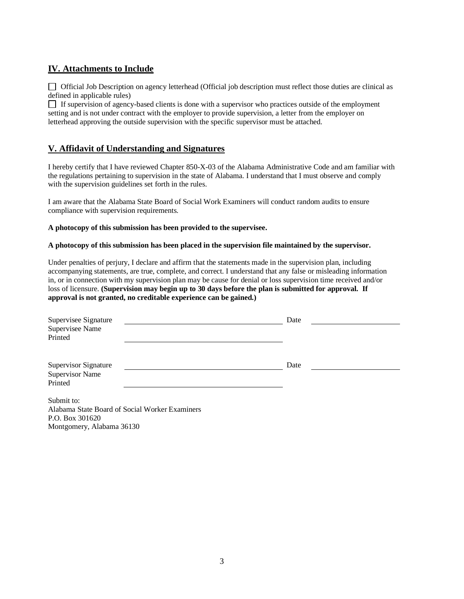# **IV. Attachments to Include**

 Official Job Description on agency letterhead (Official job description must reflect those duties are clinical as defined in applicable rules)

 If supervision of agency-based clients is done with a supervisor who practices outside of the employment setting and is not under contract with the employer to provide supervision, a letter from the employer on letterhead approving the outside supervision with the specific supervisor must be attached.

### **V. Affidavit of Understanding and Signatures**

I hereby certify that I have reviewed Chapter 850-X-03 of the Alabama Administrative Code and am familiar with the regulations pertaining to supervision in the state of Alabama. I understand that I must observe and comply with the supervision guidelines set forth in the rules.

I am aware that the Alabama State Board of Social Work Examiners will conduct random audits to ensure compliance with supervision requirements.

### **A photocopy of this submission has been provided to the supervisee.**

#### **A photocopy of this submission has been placed in the supervision file maintained by the supervisor.**

Under penalties of perjury, I declare and affirm that the statements made in the supervision plan, including accompanying statements, are true, complete, and correct. I understand that any false or misleading information in, or in connection with my supervision plan may be cause for denial or loss supervision time received and/or loss of licensure. **(Supervision may begin up to 30 days before the plan is submitted for approval. If approval is not granted, no creditable experience can be gained.)**

| Supervisee Signature<br>Supervisee Name<br>Printed                              | Date |
|---------------------------------------------------------------------------------|------|
| <b>Supervisor Signature</b><br><b>Supervisor Name</b><br>Printed                | Date |
| Submit to:<br>Alabama State Board of Social Worker Examiners<br>P.O. Box 301620 |      |

Montgomery, Alabama 36130